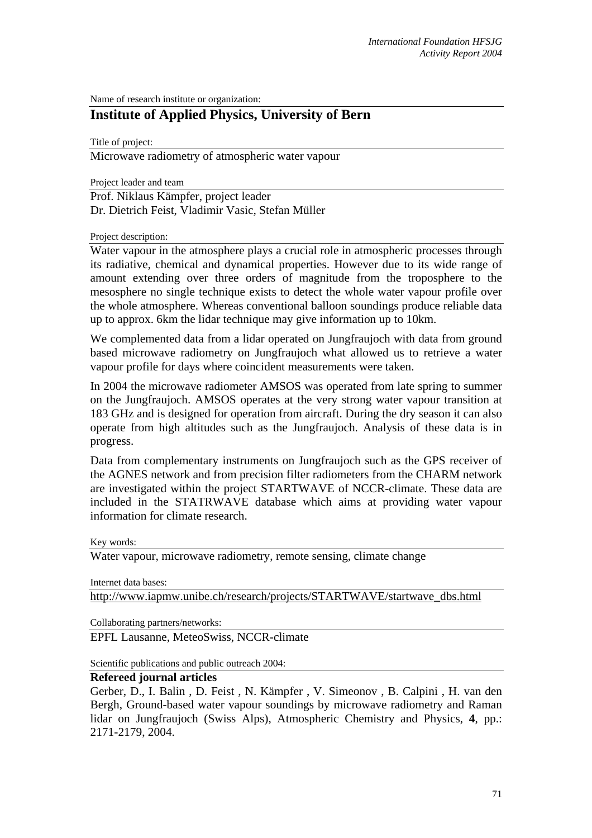Name of research institute or organization:

# **Institute of Applied Physics, University of Bern**

Title of project:

Microwave radiometry of atmospheric water vapour

Project leader and team

Prof. Niklaus Kämpfer, project leader Dr. Dietrich Feist, Vladimir Vasic, Stefan Müller

#### Project description:

Water vapour in the atmosphere plays a crucial role in atmospheric processes through its radiative, chemical and dynamical properties. However due to its wide range of amount extending over three orders of magnitude from the troposphere to the mesosphere no single technique exists to detect the whole water vapour profile over the whole atmosphere. Whereas conventional balloon soundings produce reliable data up to approx. 6km the lidar technique may give information up to 10km.

We complemented data from a lidar operated on Jungfraujoch with data from ground based microwave radiometry on Jungfraujoch what allowed us to retrieve a water vapour profile for days where coincident measurements were taken.

In 2004 the microwave radiometer AMSOS was operated from late spring to summer on the Jungfraujoch. AMSOS operates at the very strong water vapour transition at 183 GHz and is designed for operation from aircraft. During the dry season it can also operate from high altitudes such as the Jungfraujoch. Analysis of these data is in progress.

Data from complementary instruments on Jungfraujoch such as the GPS receiver of the AGNES network and from precision filter radiometers from the CHARM network are investigated within the project STARTWAVE of NCCR-climate. These data are included in the STATRWAVE database which aims at providing water vapour information for climate research.

Key words:

Water vapour, microwave radiometry, remote sensing, climate change

Internet data bases:

[http://www.iapmw.unibe.ch/research/projects/STARTWAVE/startwave\\_dbs.html](http://www.iapmw.unibe.ch/research/projects/STARTWAVE/startwave_dbs.html)

Collaborating partners/networks:

EPFL Lausanne, MeteoSwiss, NCCR-climate

Scientific publications and public outreach 2004:

#### **Refereed journal articles**

Gerber, D., I. Balin , D. Feist , N. Kämpfer , V. Simeonov , B. Calpini , H. van den Bergh, Ground-based water vapour soundings by microwave radiometry and Raman lidar on Jungfraujoch (Swiss Alps), Atmospheric Chemistry and Physics, **4**, pp.: 2171-2179, 2004.